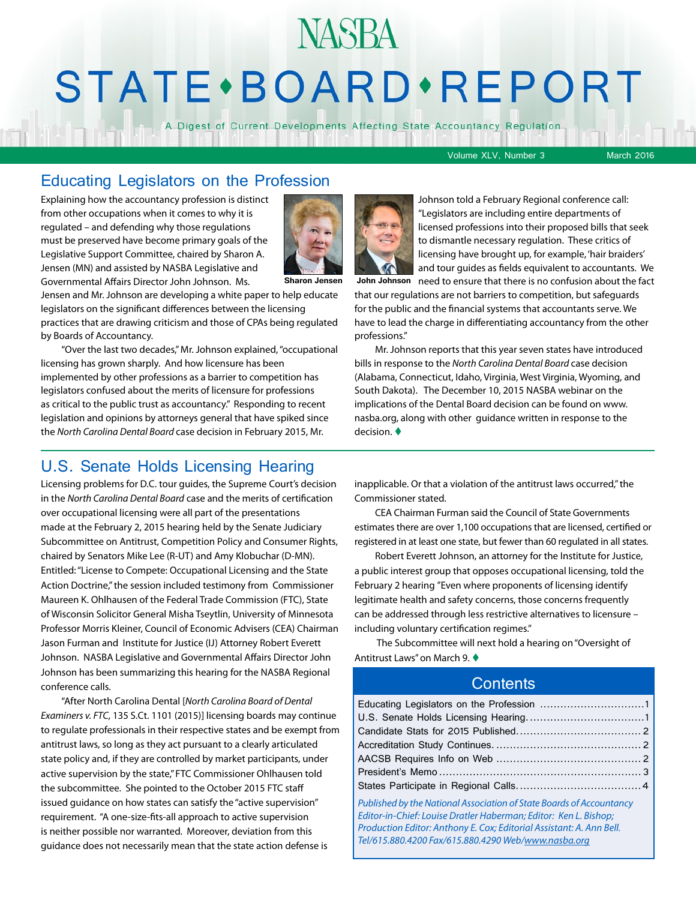## **NASBA STATE** · BOARD · REPORT

A Digest of Current Developments Affecting State Accountancy Regulation

Volume XLV, Number 3 March 2016

#### Educating Legislators on the Profession

Explaining how the accountancy profession is distinct from other occupations when it comes to why it is regulated – and defending why those regulations must be preserved have become primary goals of the Legislative Support Committee, chaired by Sharon A. Jensen (MN) and assisted by NASBA Legislative and Governmental Affairs Director John Johnson. Ms.



Jensen and Mr. Johnson are developing a white paper to help educate legislators on the significant differences between the licensing practices that are drawing criticism and those of CPAs being regulated by Boards of Accountancy.

"Over the last two decades," Mr. Johnson explained, "occupational licensing has grown sharply. And how licensure has been implemented by other professions as a barrier to competition has legislators confused about the merits of licensure for professions as critical to the public trust as accountancy." Responding to recent legislation and opinions by attorneys general that have spiked since the *North Carolina Dental Board* case decision in February 2015, Mr.



Johnson told a February Regional conference call: "Legislators are including entire departments of licensed professions into their proposed bills that seek to dismantle necessary regulation. These critics of licensing have brought up, for example, 'hair braiders' and tour guides as fields equivalent to accountants. We

**Sharon Jensen** John Johnson need to ensure that there is no confusion about the fact that our regulations are not barriers to competition, but safeguards for the public and the financial systems that accountants serve. We have to lead the charge in differentiating accountancy from the other professions."

> Mr. Johnson reports that this year seven states have introduced bills in response to the *North Carolina Dental Board* case decision (Alabama, Connecticut, Idaho, Virginia, West Virginia, Wyoming, and South Dakota). The December 10, 2015 NASBA webinar on the implications of the Dental Board decision can be found on www. nasba.org, along with other guidance written in response to the decision.  $\blacklozenge$

#### U.S. Senate Holds Licensing Hearing

Licensing problems for D.C. tour guides, the Supreme Court's decision in the *North Carolina Dental Board* case and the merits of certification over occupational licensing were all part of the presentations made at the February 2, 2015 hearing held by the Senate Judiciary Subcommittee on Antitrust, Competition Policy and Consumer Rights, chaired by Senators Mike Lee (R-UT) and Amy Klobuchar (D-MN). Entitled: "License to Compete: Occupational Licensing and the State Action Doctrine," the session included testimony from Commissioner Maureen K. Ohlhausen of the Federal Trade Commission (FTC), State of Wisconsin Solicitor General Misha Tseytlin, University of Minnesota Professor Morris Kleiner, Council of Economic Advisers (CEA) Chairman Jason Furman and Institute for Justice (IJ) Attorney Robert Everett Johnson. NASBA Legislative and Governmental Affairs Director John Johnson has been summarizing this hearing for the NASBA Regional conference calls.

"After North Carolina Dental [*North Carolina Board of Dental Examiners v. FTC*, 135 S.Ct. 1101 (2015)] licensing boards may continue to regulate professionals in their respective states and be exempt from antitrust laws, so long as they act pursuant to a clearly articulated state policy and, if they are controlled by market participants, under active supervision by the state," FTC Commissioner Ohlhausen told the subcommittee. She pointed to the October 2015 FTC staff issued guidance on how states can satisfy the "active supervision" requirement. "A one-size-fits-all approach to active supervision is neither possible nor warranted. Moreover, deviation from this guidance does not necessarily mean that the state action defense is

inapplicable. Or that a violation of the antitrust laws occurred," the Commissioner stated.

CEA Chairman Furman said the Council of State Governments estimates there are over 1,100 occupations that are licensed, certified or registered in at least one state, but fewer than 60 regulated in all states.

Robert Everett Johnson, an attorney for the Institute for Justice, a public interest group that opposes occupational licensing, told the February 2 hearing "Even where proponents of licensing identify legitimate health and safety concerns, those concerns frequently can be addressed through less restrictive alternatives to licensure – including voluntary certification regimes."

 The Subcommittee will next hold a hearing on "Oversight of Antitrust Laws" on March 9. ♦

#### **Contents**

| Published by the National Association of State Boards of Accountancy |  |  |  |
|----------------------------------------------------------------------|--|--|--|
| Editor-in-Chief: Louise Dratler Haberman; Editor: Ken L. Bishop;     |  |  |  |
| Production Editor: Anthony E. Cox; Editorial Assistant: A. Ann Bell. |  |  |  |

*Tel/615.880.4200 Fax/615.880.4290 Web/[www.nasba.org](http://www.nasba.org)*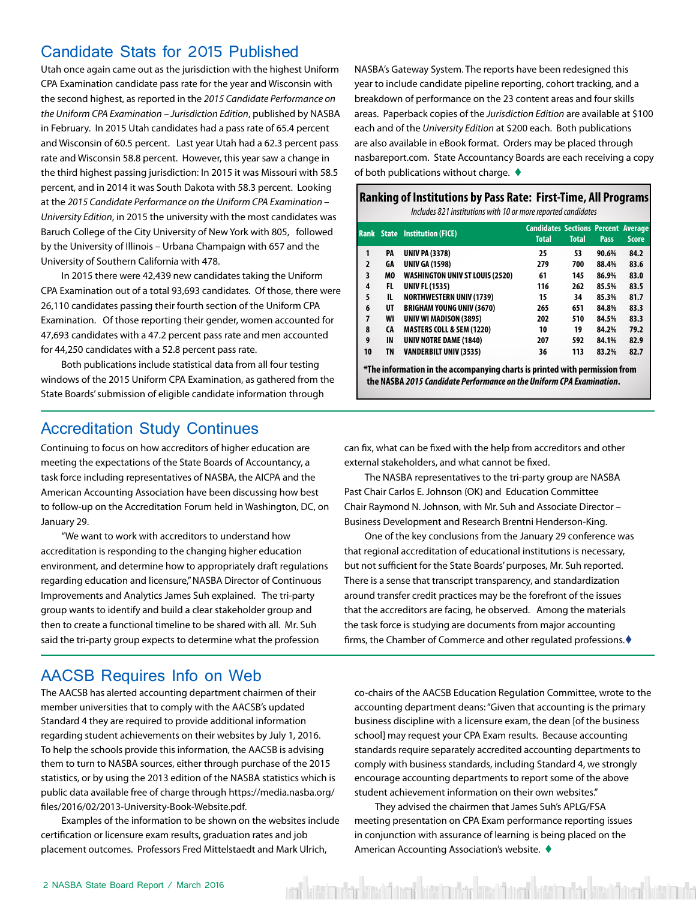#### <span id="page-1-0"></span>Candidate Stats for 2015 Published

Utah once again came out as the jurisdiction with the highest Uniform CPA Examination candidate pass rate for the year and Wisconsin with the second highest, as reported in the *2015 Candidate Performance on the Uniform CPA Examination – Jurisdiction Edition*, published by NASBA in February. In 2015 Utah candidates had a pass rate of 65.4 percent and Wisconsin of 60.5 percent. Last year Utah had a 62.3 percent pass rate and Wisconsin 58.8 percent. However, this year saw a change in the third highest passing jurisdiction: In 2015 it was Missouri with 58.5 percent, and in 2014 it was South Dakota with 58.3 percent. Looking at the *2015 Candidate Performance on the Uniform CPA Examination – University Edition*, in 2015 the university with the most candidates was Baruch College of the City University of New York with 805, followed by the University of Illinois – Urbana Champaign with 657 and the University of Southern California with 478.

In 2015 there were 42,439 new candidates taking the Uniform CPA Examination out of a total 93,693 candidates. Of those, there were 26,110 candidates passing their fourth section of the Uniform CPA Examination. Of those reporting their gender, women accounted for 47,693 candidates with a 47.2 percent pass rate and men accounted for 44,250 candidates with a 52.8 percent pass rate.

Both publications include statistical data from all four testing windows of the 2015 Uniform CPA Examination, as gathered from the State Boards' submission of eligible candidate information through

#### Accreditation Study Continues

Continuing to focus on how accreditors of higher education are meeting the expectations of the State Boards of Accountancy, a task force including representatives of NASBA, the AICPA and the American Accounting Association have been discussing how best to follow-up on the Accreditation Forum held in Washington, DC, on January 29.

"We want to work with accreditors to understand how accreditation is responding to the changing higher education environment, and determine how to appropriately draft regulations regarding education and licensure," NASBA Director of Continuous Improvements and Analytics James Suh explained. The tri-party group wants to identify and build a clear stakeholder group and then to create a functional timeline to be shared with all. Mr. Suh said the tri-party group expects to determine what the profession

AACSB Requires Info on Web

The AACSB has alerted accounting department chairmen of their member universities that to comply with the AACSB's updated Standard 4 they are required to provide additional information regarding student achievements on their websites by July 1, 2016. To help the schools provide this information, the AACSB is advising them to turn to NASBA sources, either through purchase of the 2015 statistics, or by using the 2013 edition of the NASBA statistics which is public data available free of charge through https://media.nasba.org/ files/2016/02/2013-University-Book-Website.pdf.

Examples of the information to be shown on the websites include certification or licensure exam results, graduation rates and job placement outcomes. Professors Fred Mittelstaedt and Mark Ulrich,

NASBA's Gateway System. The reports have been redesigned this year to include candidate pipeline reporting, cohort tracking, and a breakdown of performance on the 23 content areas and four skills areas. Paperback copies of the *Jurisdiction Edition* are available at \$100 each and of the *University Edition* at \$200 each. Both publications are also available in eBook format. Orders may be placed through nasbareport.com. State Accountancy Boards are each receiving a copy of both publications without charge.  $\blacklozenge$ 

#### **Ranking of Institutions by Pass Rate: First-Time, All Programs**

*Includes 821 institutions with 10 or more reported candidates*

|                |     | <b>Rank State Institution (FICE)</b> | <b>Candidates Sections Percent Average</b><br><b>Total</b> | <b>Total</b> | <b>Pass</b> | <b>Score</b> |
|----------------|-----|--------------------------------------|------------------------------------------------------------|--------------|-------------|--------------|
| 1              | PA  | <b>UNIV PA (3378)</b>                | 25                                                         | 53           | 90.6%       | 84.2         |
| $\overline{2}$ | GA  | <b>UNIV GA (1598)</b>                | 279                                                        | 700          | 88.4%       | 83.6         |
| 3              | MO  | WASHINGTON UNIV ST LOUIS (2520)      | 61                                                         | 145          | 86.9%       | 83.0         |
| 4              | FL  | <b>UNIV FL (1535)</b>                | 116                                                        | 262          | 85.5%       | 83.5         |
| 5              | IL. | <b>NORTHWESTERN UNIV (1739)</b>      | 15                                                         | 34           | 85.3%       | 81.7         |
| 6              | UT  | <b>BRIGHAM YOUNG UNIV (3670)</b>     | 265                                                        | 651          | 84.8%       | 83.3         |
| 7              | WI  | UNIV WI MADISON (3895)               | 202                                                        | 510          | 84.5%       | 83.3         |
| 8              | CA  | <b>MASTERS COLL &amp; SEM (1220)</b> | 10                                                         | 19           | 84.2%       | 79.2         |
| 9              | IN  | <b>UNIV NOTRE DAME (1840)</b>        | 207                                                        | 592          | 84.1%       | 82.9         |
| 10             | TN  | <b>VANDERBILT UNIV (3535)</b>        | 36                                                         | 113          | 83.2%       | 82.7         |

**\*The information in the accompanying charts is printed with permission from the NASBA** *2015 Candidate Performance on the Uniform CPA Examination***.**

can fix, what can be fixed with the help from accreditors and other external stakeholders, and what cannot be fixed.

The NASBA representatives to the tri-party group are NASBA Past Chair Carlos E. Johnson (OK) and Education Committee Chair Raymond N. Johnson, with Mr. Suh and Associate Director – Business Development and Research Brentni Henderson-King.

One of the key conclusions from the January 29 conference was that regional accreditation of educational institutions is necessary, but not sufficient for the State Boards' purposes, Mr. Suh reported. There is a sense that transcript transparency, and standardization around transfer credit practices may be the forefront of the issues that the accreditors are facing, he observed. Among the materials the task force is studying are documents from major accounting firms, the Chamber of Commerce and other regulated professions. $\blacklozenge$ 

co-chairs of the AACSB Education Regulation Committee, wrote to the accounting department deans: "Given that accounting is the primary business discipline with a licensure exam, the dean [of the business school] may request your CPA Exam results. Because accounting standards require separately accredited accounting departments to comply with business standards, including Standard 4, we strongly encourage accounting departments to report some of the above student achievement information on their own websites."

They advised the chairmen that James Suh's APLG/FSA meeting presentation on CPA Exam performance reporting issues in conjunction with assurance of learning is being placed on the American Accounting Association's website.  $\blacklozenge$ 

ent lett botak kost form botak der kost form botak visak kost form botak lett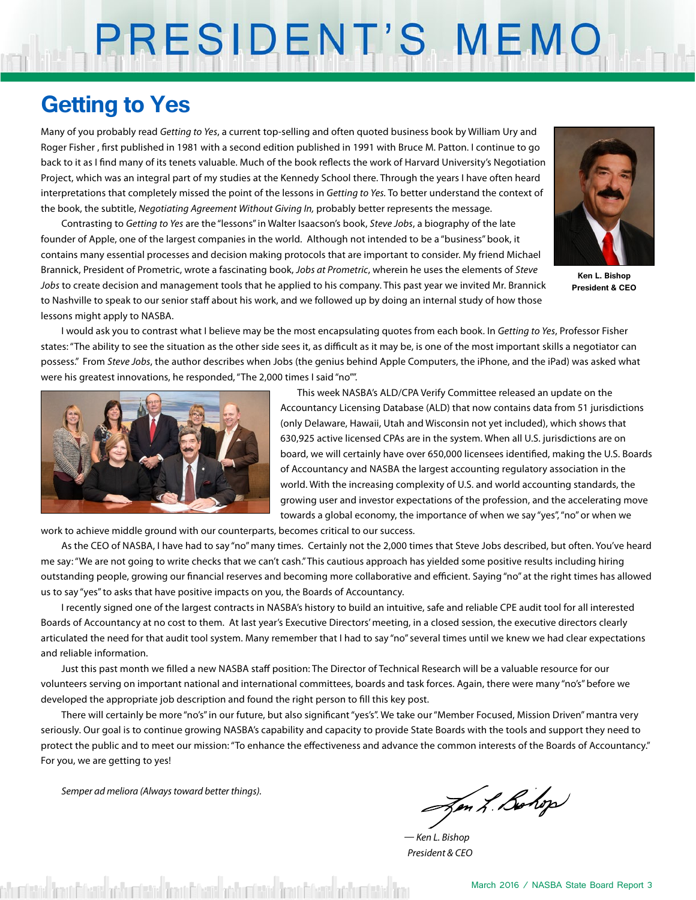# PRESIDENT'S MEMO

### **Getting to Yes**

Many of you probably read *Getting to Yes*, a current top-selling and often quoted business book by William Ury and Roger Fisher , first published in 1981 with a second edition published in 1991 with Bruce M. Patton. I continue to go back to it as I find many of its tenets valuable. Much of the book reflects the work of Harvard University's Negotiation Project, which was an integral part of my studies at the Kennedy School there. Through the years I have often heard interpretations that completely missed the point of the lessons in *Getting to Yes.* To better understand the context of the book, the subtitle, *Negotiating Agreement Without Giving In,* probably better represents the message.

Contrasting to *Getting to Yes* are the "lessons" in Walter Isaacson's book, *Steve Jobs*, a biography of the late founder of Apple, one of the largest companies in the world. Although not intended to be a "business" book, it contains many essential processes and decision making protocols that are important to consider. My friend Michael Brannick, President of Prometric, wrote a fascinating book, *Jobs at Prometric*, wherein he uses the elements of *Steve Jobs* to create decision and management tools that he applied to his company. This past year we invited Mr. Brannick to Nashville to speak to our senior staff about his work, and we followed up by doing an internal study of how those lessons might apply to NASBA.



**Ken L. Bishop President & CEO**

I would ask you to contrast what I believe may be the most encapsulating quotes from each book. In *Getting to Yes*, Professor Fisher states: "The ability to see the situation as the other side sees it, as difficult as it may be, is one of the most important skills a negotiator can possess." From *Steve Jobs*, the author describes when Jobs (the genius behind Apple Computers, the iPhone, and the iPad) was asked what were his greatest innovations, he responded, "The 2,000 times I said "no"".



 This week NASBA's ALD/CPA Verify Committee released an update on the Accountancy Licensing Database (ALD) that now contains data from 51 jurisdictions (only Delaware, Hawaii, Utah and Wisconsin not yet included), which shows that 630,925 active licensed CPAs are in the system. When all U.S. jurisdictions are on board, we will certainly have over 650,000 licensees identified, making the U.S. Boards of Accountancy and NASBA the largest accounting regulatory association in the world. With the increasing complexity of U.S. and world accounting standards, the growing user and investor expectations of the profession, and the accelerating move towards a global economy, the importance of when we say "yes", "no" or when we

work to achieve middle ground with our counterparts, becomes critical to our success.

As the CEO of NASBA, I have had to say "no" many times. Certainly not the 2,000 times that Steve Jobs described, but often. You've heard me say: "We are not going to write checks that we can't cash." This cautious approach has yielded some positive results including hiring outstanding people, growing our financial reserves and becoming more collaborative and efficient. Saying "no" at the right times has allowed us to say "yes" to asks that have positive impacts on you, the Boards of Accountancy.

I recently signed one of the largest contracts in NASBA's history to build an intuitive, safe and reliable CPE audit tool for all interested Boards of Accountancy at no cost to them. At last year's Executive Directors' meeting, in a closed session, the executive directors clearly articulated the need for that audit tool system. Many remember that I had to say "no" several times until we knew we had clear expectations and reliable information.

Just this past month we filled a new NASBA staff position: The Director of Technical Research will be a valuable resource for our volunteers serving on important national and international committees, boards and task forces. Again, there were many "no's" before we developed the appropriate job description and found the right person to fill this key post.

There will certainly be more "no's" in our future, but also significant "yes's". We take our "Member Focused, Mission Driven" mantra very seriously. Our goal is to continue growing NASBA's capability and capacity to provide State Boards with the tools and support they need to protect the public and to meet our mission: "To enhance the effectiveness and advance the common interests of the Boards of Accountancy." For you, we are getting to yes!

*Semper ad meliora (Always toward better things).*

Jon L. Bohop

*— Ken L. Bishop President & CEO*

thurdistic from Fibers of the rest of the Fibers' of the rest for the fibers of the rest of the